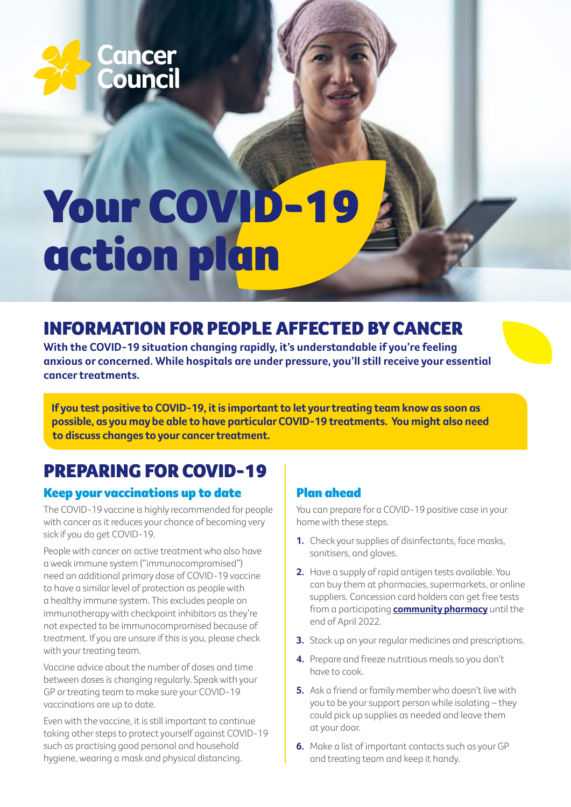

# Your COVID-19 action plan

## INFORMATION FOR PEOPLE AFFECTED BY CANCER

**With the COVID-19 situation changing rapidly, it's understandable if you're feeling anxious or concerned. While hospitals are under pressure, you'll still receive your essential cancer treatments.**

**If you test positive to COVID-19, it is important to let your treating team know as soon as possible, as you may be able to have particular COVID-19 treatments. You might also need to discuss changes to your cancer treatment.** 

## PREPARING FOR COVID-19

#### Keep your vaccinations up to date

The COVID-19 vaccine is highly recommended for people with cancer as it reduces your chance of becoming very sick if you do get COVID-19.

People with cancer on active treatment who also have a weak immune system ("immunocompromised") need an additional primary dose of COVID-19 vaccine to have a similar level of protection as people with a healthy immune system. This excludes people on immunotherapy with checkpoint inhibitors as they're not expected to be immunocompromised because of treatment. If you are unsure if this is you, please check with your treating team.

Vaccine advice about the number of doses and time between doses is changing regularly. Speak with your GP or treating team to make sure your COVID-19 vaccinations are up to date.

Even with the vaccine, it is still important to continue taking other steps to protect yourself against COVID-19 such as practising good personal and household hygiene, wearing a mask and physical distancing.

#### Plan ahead

You can prepare for a COVID-19 positive case in your home with these steps.

- **1.** Check your supplies of disinfectants, face masks, sanitisers, and gloves.
- **2.** Have a supply of rapid antigen tests available. You can buy them at pharmacies, supermarkets, or online suppliers. Concession card holders can get free tests from a participating **[community pharmacy](https://www.findapharmacy.com.au/home/rapid-antigen-tests)** until the end of April 2022.
- **3.** Stock up on your regular medicines and prescriptions.
- **4.** Prepare and freeze nutritious meals so you don't have to cook.
- **5.** Ask a friend or family member who doesn't live with you to be your support person while isolating – they could pick up supplies as needed and leave them at your door.
- **6.** Make a list of important contacts such as your GP and treating team and keep it handy.